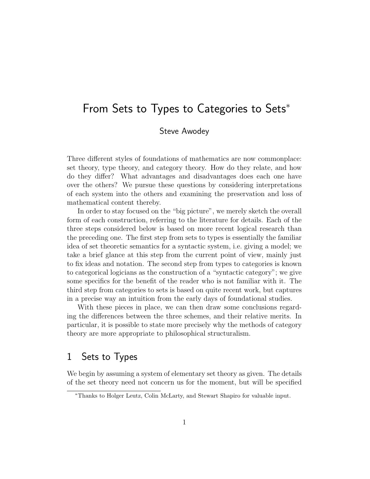# From Sets to Types to Categories to Sets<sup>∗</sup>

### Steve Awodey

Three different styles of foundations of mathematics are now commonplace: set theory, type theory, and category theory. How do they relate, and how do they differ? What advantages and disadvantages does each one have over the others? We pursue these questions by considering interpretations of each system into the others and examining the preservation and loss of mathematical content thereby.

In order to stay focused on the "big picture", we merely sketch the overall form of each construction, referring to the literature for details. Each of the three steps considered below is based on more recent logical research than the preceding one. The first step from sets to types is essentially the familiar idea of set theoretic semantics for a syntactic system, i.e. giving a model; we take a brief glance at this step from the current point of view, mainly just to fix ideas and notation. The second step from types to categories is known to categorical logicians as the construction of a "syntactic category"; we give some specifics for the benefit of the reader who is not familiar with it. The third step from categories to sets is based on quite recent work, but captures in a precise way an intuition from the early days of foundational studies.

With these pieces in place, we can then draw some conclusions regarding the differences between the three schemes, and their relative merits. In particular, it is possible to state more precisely why the methods of category theory are more appropriate to philosophical structuralism.

# 1 Sets to Types

We begin by assuming a system of elementary set theory as given. The details of the set theory need not concern us for the moment, but will be specified

<sup>∗</sup>Thanks to Holger Leutz, Colin McLarty, and Stewart Shapiro for valuable input.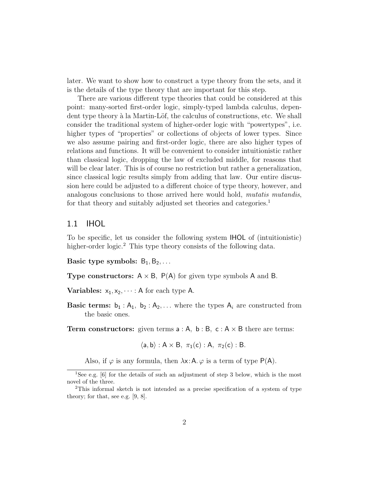later. We want to show how to construct a type theory from the sets, and it is the details of the type theory that are important for this step.

There are various different type theories that could be considered at this point: many-sorted first-order logic, simply-typed lambda calculus, dependent type theory à la Martin-Löf, the calculus of constructions, etc. We shall consider the traditional system of higher-order logic with "powertypes", i.e. higher types of "properties" or collections of objects of lower types. Since we also assume pairing and first-order logic, there are also higher types of relations and functions. It will be convenient to consider intuitionistic rather than classical logic, dropping the law of excluded middle, for reasons that will be clear later. This is of course no restriction but rather a generalization, since classical logic results simply from adding that law. Our entire discussion here could be adjusted to a different choice of type theory, however, and analogous conclusions to those arrived here would hold, mutatis mutandis, for that theory and suitably adjusted set theories and categories.<sup>1</sup>

#### 1.1 IHOL

To be specific, let us consider the following system IHOL of (intuitionistic) higher-order logic.<sup>2</sup> This type theory consists of the following data.

Basic type symbols:  $B_1, B_2, \ldots$ 

**Type constructors:**  $A \times B$ ,  $P(A)$  for given type symbols A and B.

**Variables:**  $x_1, x_2, \dots$ : A for each type A.

**Basic terms:**  $b_1 : A_1, b_2 : A_2, \ldots$  where the types  $A_i$  are constructed from the basic ones.

**Term constructors:** given terms  $a : A, b : B, c : A \times B$  there are terms:

$$
\langle a,b\rangle : A\times B, \ \pi_1(c) : A, \ \pi_2(c) : B.
$$

Also, if  $\varphi$  is any formula, then  $\lambda x$ : A.  $\varphi$  is a term of type  $P(A)$ .

<sup>1</sup>See e.g. [6] for the details of such an adjustment of step 3 below, which is the most novel of the three.

<sup>2</sup>This informal sketch is not intended as a precise specification of a system of type theory; for that, see e.g. [9, 8].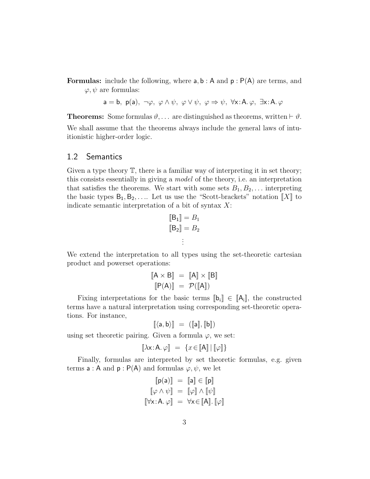**Formulas:** include the following, where  $a, b : A$  and  $p : P(A)$  are terms, and  $\varphi, \psi$  are formulas:

$$
\mathsf{a} = \mathsf{b}, \ \mathsf{p}(\mathsf{a}), \ \neg \varphi, \ \varphi \land \psi, \ \varphi \lor \psi, \ \varphi \Rightarrow \psi, \ \forall \mathsf{x} : \mathsf{A} \mathsf{.} \varphi, \ \exists \mathsf{x} : \mathsf{A} \mathsf{.} \varphi
$$

**Theorems:** Some formulas  $\vartheta$ ,... are distinguished as theorems, written  $\vdash \vartheta$ . We shall assume that the theorems always include the general laws of intuitionistic higher-order logic.

#### 1.2 Semantics

Given a type theory  $\mathbb{T}$ , there is a familiar way of interpreting it in set theory; this consists essentially in giving a model of the theory, i.e. an interpretation that satisfies the theorems. We start with some sets  $B_1, B_2, \ldots$  interpreting the basic types  $B_1, B_2, \ldots$  Let us use the "Scott-brackets" notation  $\llbracket X \rrbracket$  to indicate semantic interpretation of a bit of syntax  $X$ :

$$
\begin{bmatrix} \mathbf{B}_1 \end{bmatrix} = B_1
$$

$$
\begin{bmatrix} \mathbf{B}_2 \end{bmatrix} = B_2
$$

$$
\vdots
$$

We extend the interpretation to all types using the set-theoretic cartesian product and powerset operations:

$$
\begin{aligned}\n\llbracket A \times B \rrbracket &= \llbracket A \rrbracket \times \llbracket B \rrbracket \\
\llbracket P(A) \rrbracket &= \mathcal{P}(\llbracket A \rrbracket)\n\end{aligned}
$$

Fixing interpretations for the basic terms  $[\![b_i]\!] \in [\![A_i]\!]$ , the constructed terms have a natural interpretation using corresponding set-theoretic operations. For instance,

$$
[\![\langle a,b\rangle]\!] = ([\![a]\!],[\![b]\!])
$$

using set theoretic pairing. Given a formula  $\varphi$ , we set:

$$
[\![\lambda \mathbf{x} \cdot \mathbf{A} \cdot \varphi]\!] = \{ x \in [\![\mathbf{A}]\!] \mid [\![\varphi]\!] \}
$$

Finally, formulas are interpreted by set theoretic formulas, e.g. given terms **a** : A and **p** :  $P(A)$  and formulas  $\varphi, \psi$ , we let

$$
\begin{array}{rcl}\n[\![p(a)]\!] & = & [\![a]\!] \in [\![p]\!] \\
[\![\varphi \wedge \psi]\!] & = & [\![\varphi]\!] \wedge [\![\psi]\!] \\
[\![\forall x:A. \varphi]\!] & = & \forall x \in [\![A]\!]. \;[\![\varphi]\!]\n\end{array}
$$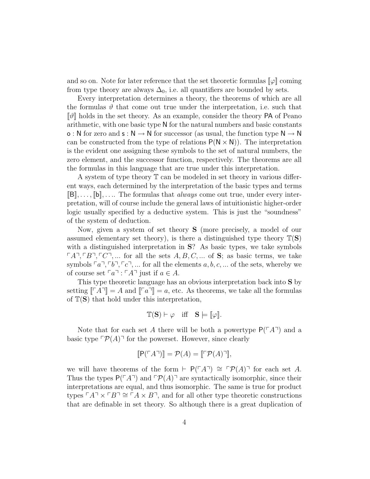and so on. Note for later reference that the set theoretic formulas  $\llbracket \varphi \rrbracket$  coming from type theory are always  $\Delta_0$ , i.e. all quantifiers are bounded by sets.

Every interpretation determines a theory, the theorems of which are all the formulas  $\vartheta$  that come out true under the interpretation, i.e. such that  $\llbracket \vartheta \rrbracket$  holds in the set theory. As an example, consider the theory PA of Peano arithmetic, with one basic type N for the natural numbers and basic constants  $\circ$ : N for zero and  $s : N \to N$  for successor (as usual, the function type  $N \to N$ can be constructed from the type of relations  $P(N \times N)$ . The interpretation is the evident one assigning these symbols to the set of natural numbers, the zero element, and the successor function, respectively. The theorems are all the formulas in this language that are true under this interpretation.

A system of type theory T can be modeled in set theory in various different ways, each determined by the interpretation of the basic types and terms  $||B||, \ldots, ||b||, \ldots$  The formulas that *always* come out true, under every interpretation, will of course include the general laws of intuitionistic higher-order logic usually specified by a deductive system. This is just the "soundness" of the system of deduction.

Now, given a system of set theory S (more precisely, a model of our assumed elementary set theory), is there a distinguished type theory  $\mathbb{T}(\mathbf{S})$ with a distinguished interpretation in S? As basic types, we take symbols  $\ulcorner A\urcorner, \ulcorner B\urcorner, \ulcorner C\urcorner, \ldots$  for all the sets  $A, B, C, \ldots$  of S; as basic terms, we take symbols  $\lceil a \rceil, \lceil b \rceil, \lceil c \rceil, \ldots$  for all the elements  $a, b, c, \ldots$  of the sets, whereby we of course set  $\ulcorner a \urcorner : \ulcorner A \urcorner$  just if  $a \in A$ .

This type theoretic language has an obvious interpretation back into S by setting  $\llbracket \lceil A \rceil = A$  and  $\llbracket \lceil a \rceil = a$ , etc. As theorems, we take all the formulas of  $\mathbb{T}(\mathbf{S})$  that hold under this interpretation,

$$
\mathbb{T}(\mathbf{S}) \vdash \varphi \quad \text{iff} \quad \mathbf{S} \models [\varphi].
$$

Note that for each set A there will be both a powertype  $P(\ulcorner A\urcorner)$  and a basic type  $\ulcorner \mathcal{P}(A) \urcorner$  for the powerset. However, since clearly

$$
[\![\mathsf{P}(\ulcorner A\urcorner)]\!]=\mathcal{P}(A)=[\![\ulcorner \mathcal{P}(A)\urcorner]\!],
$$

we will have theorems of the form  $\vdash P(\ulcorner A\urcorner) \cong \ulcorner \mathcal{P}(A)\urcorner$  for each set A. Thus the types  $P(\ulcorner A\urcorner)$  and  $\ulcorner \mathcal{P}(A)\urcorner$  are syntactically isomorphic, since their interpretations are equal, and thus isomorphic. The same is true for product types  $\ulcorner A\urcorner \times \ulcorner B\urcorner \cong \ulcorner A \times B\urcorner$ , and for all other type theoretic constructions that are definable in set theory. So although there is a great duplication of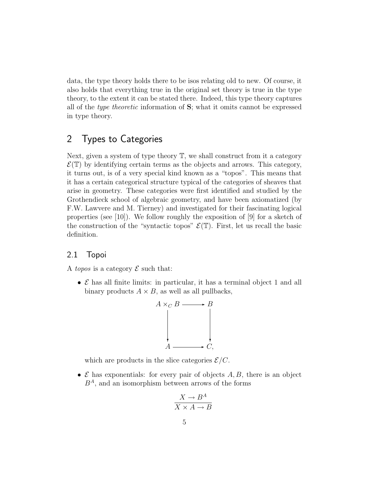data, the type theory holds there to be isos relating old to new. Of course, it also holds that everything true in the original set theory is true in the type theory, to the extent it can be stated there. Indeed, this type theory captures all of the *type theoretic* information of  $S$ ; what it omits cannot be expressed in type theory.

# 2 Types to Categories

Next, given a system of type theory T, we shall construct from it a category  $\mathcal{E}(\mathbb{T})$  by identifying certain terms as the objects and arrows. This category, it turns out, is of a very special kind known as a "topos". This means that it has a certain categorical structure typical of the categories of sheaves that arise in geometry. These categories were first identified and studied by the Grothendieck school of algebraic geometry, and have been axiomatized (by F.W. Lawvere and M. Tierney) and investigated for their fascinating logical properties (see [10]). We follow roughly the exposition of [9] for a sketch of the construction of the "syntactic topos"  $\mathcal{E}(\mathbb{T})$ . First, let us recall the basic definition.

#### 2.1 Topoi

A *topos* is a category  $\mathcal E$  such that:

•  $\mathcal E$  has all finite limits: in particular, it has a terminal object 1 and all binary products  $A \times B$ , as well as all pullbacks,



which are products in the slice categories  $\mathcal{E}/C$ .

•  $\mathcal E$  has exponentials: for every pair of objects  $A, B$ , there is an object  $B<sup>A</sup>$ , and an isomorphism between arrows of the forms

$$
\frac{X \to B^A}{X \times A \to B}
$$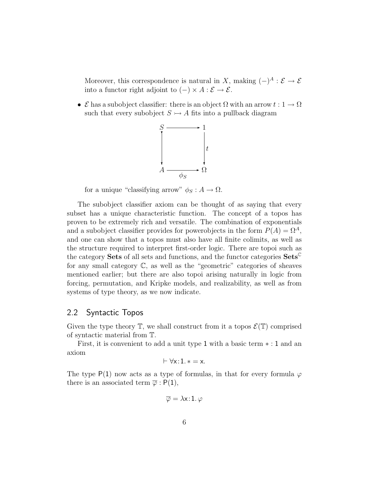Moreover, this correspondence is natural in X, making  $(-)^A : \mathcal{E} \to \mathcal{E}$ into a functor right adjoint to  $(-) \times A : \mathcal{E} \to \mathcal{E}$ .

•  $\mathcal E$  has a subobject classifier: there is an object  $\Omega$  with an arrow  $t: 1 \to \Omega$ such that every subobject  $S \rightarrow A$  fits into a pullback diagram



for a unique "classifying arrow"  $\phi_S : A \to \Omega$ .

The subobject classifier axiom can be thought of as saying that every subset has a unique characteristic function. The concept of a topos has proven to be extremely rich and versatile. The combination of exponentials and a subobject classifier provides for powerobjects in the form  $P(A) = \Omega^A$ , and one can show that a topos must also have all finite colimits, as well as the structure required to interpret first-order logic. There are topoi such as the category Sets of all sets and functions, and the functor categories  $\textbf{Sets}^{\mathbb{C}}$ for any small category C, as well as the "geometric" categories of sheaves mentioned earlier; but there are also topoi arising naturally in logic from forcing, permutation, and Kripke models, and realizability, as well as from systems of type theory, as we now indicate.

### 2.2 Syntactic Topos

Given the type theory  $\mathbb T$ , we shall construct from it a topos  $\mathcal E(\mathbb T)$  comprised of syntactic material from T.

First, it is convenient to add a unit type 1 with a basic term ∗ : 1 and an axiom

$$
\vdash \forall x\colon\! 1.*=x.
$$

The type P(1) now acts as a type of formulas, in that for every formula  $\varphi$ there is an associated term  $\overline{\varphi}$  :  $P(1)$ ,

$$
\overline{\varphi}=\lambda\mathsf{x}\!:\!1.\,\varphi
$$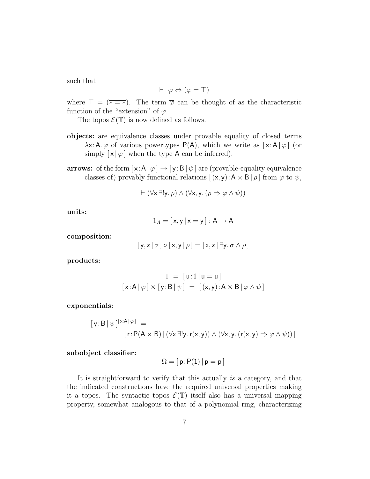such that

$$
\vdash \varphi \Leftrightarrow (\overline{\varphi} = \top)
$$

where  $\top = (\overline{*} = \overline{*})$ . The term  $\overline{\varphi}$  can be thought of as the characteristic function of the "extension" of  $\varphi$ .

The topos  $\mathcal{E}(\mathbb{T})$  is now defined as follows.

objects: are equivalence classes under provable equality of closed terms  $\lambda x$ : A.  $\varphi$  of various powertypes P(A), which we write as  $[x : A | \varphi]$  (or simply  $[x | \varphi]$  when the type A can be inferred).

**arrows:** of the form  $[x : A | \varphi] \rightarrow [y : B | \psi]$  are (provable-equality equivalence classes of) provably functional relations  $[(x, y): A \times B | \rho]$  from  $\varphi$  to  $\psi$ ,

$$
\vdash (\forall x \exists ! y. \rho) \land (\forall x, y. (\rho \Rightarrow \varphi \land \psi))
$$

units:

$$
1_A = [x, y | x = y] : A \rightarrow A
$$

composition:

$$
[y, z | \sigma] \circ [x, y | \rho] = [x, z | \exists y. \sigma \land \rho]
$$

products:

$$
1 = [u:1|u=u]
$$

$$
[x:A|\varphi] \times [y:B|\psi] = [(x,y):A \times B|\varphi \wedge \psi]
$$

exponentials:

$$
[y:B|\psi]^{[x:A|\varphi]} =
$$
  

$$
[r:P(A \times B)|(\forall x \exists! y. r(x,y)) \wedge (\forall x, y. (r(x,y) \Rightarrow \varphi \wedge \psi))]
$$

subobject classifier:

$$
\Omega = [p \colon P(1) \, | \, p = p]
$$

It is straightforward to verify that this actually is a category, and that the indicated constructions have the required universal properties making it a topos. The syntactic topos  $\mathcal{E}(\mathbb{T})$  itself also has a universal mapping property, somewhat analogous to that of a polynomial ring, characterizing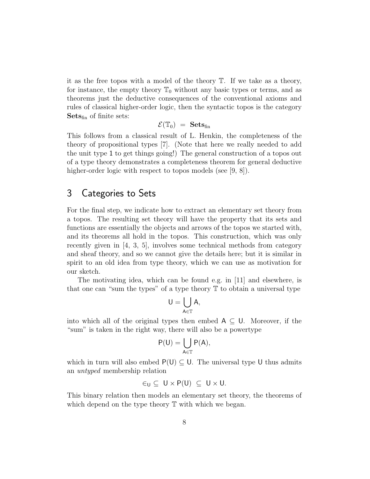it as the free topos with a model of the theory T. If we take as a theory, for instance, the empty theory  $\mathbb{T}_0$  without any basic types or terms, and as theorems just the deductive consequences of the conventional axioms and rules of classical higher-order logic, then the syntactic topos is the category  $Sets<sub>fin</sub>$  of finite sets:

 $\mathcal{E}(\mathbb{T}_0) = \textbf{Sets}_{\text{fin}}$ 

This follows from a classical result of L. Henkin, the completeness of the theory of propositional types [7]. (Note that here we really needed to add the unit type 1 to get things going!) The general construction of a topos out of a type theory demonstrates a completeness theorem for general deductive higher-order logic with respect to topos models (see [9, 8]).

# 3 Categories to Sets

For the final step, we indicate how to extract an elementary set theory from a topos. The resulting set theory will have the property that its sets and functions are essentially the objects and arrows of the topos we started with, and its theorems all hold in the topos. This construction, which was only recently given in [4, 3, 5], involves some technical methods from category and sheaf theory, and so we cannot give the details here; but it is similar in spirit to an old idea from type theory, which we can use as motivation for our sketch.

The motivating idea, which can be found e.g. in [11] and elsewhere, is that one can "sum the types" of a type theory T to obtain a universal type

$$
U=\bigcup_{A\in\mathbb{T}}A,
$$

into which all of the original types then embed  $A \subseteq U$ . Moreover, if the "sum" is taken in the right way, there will also be a powertype

$$
P(U)=\bigcup_{A\in\mathbb{T}}P(A),
$$

which in turn will also embed  $P(U) \subseteq U$ . The universal type U thus admits an untyped membership relation

$$
\in_U \subseteq U \times P(U) \subseteq U \times U.
$$

This binary relation then models an elementary set theory, the theorems of which depend on the type theory  $\mathbb T$  with which we began.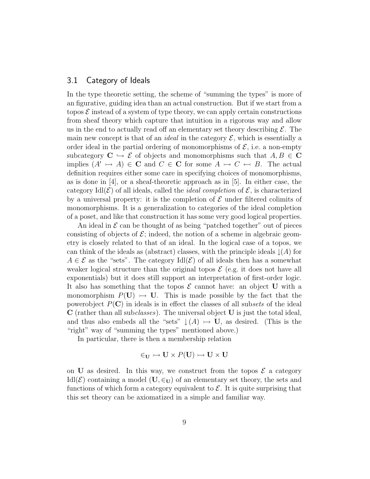#### 3.1 Category of Ideals

In the type theoretic setting, the scheme of "summing the types" is more of an figurative, guiding idea than an actual construction. But if we start from a topos  $\mathcal E$  instead of a system of type theory, we can apply certain constructions from sheaf theory which capture that intuition in a rigorous way and allow us in the end to actually read off an elementary set theory describing  $\mathcal{E}$ . The main new concept is that of an *ideal* in the category  $\mathcal{E}$ , which is essentially a order ideal in the partial ordering of monomorphisms of  $\mathcal{E}$ , i.e. a non-empty subcategory  $C \hookrightarrow \mathcal{E}$  of objects and monomorphisms such that  $A, B \in \mathbf{C}$ implies  $(A' \rightarrowtail A) \in \mathbf{C}$  and  $C \in \mathbf{C}$  for some  $A \rightarrowtail C \leftrightarrow B$ . The actual definition requires either some care in specifying choices of monomorphisms, as is done in [4], or a sheaf-theoretic approach as in [5]. In either case, the category Idl $(\mathcal{E})$  of all ideals, called the *ideal completion* of  $\mathcal{E}$ , is characterized by a universal property: it is the completion of  $\mathcal E$  under filtered colimits of monomorphisms. It is a generalization to categories of the ideal completion of a poset, and like that construction it has some very good logical properties.

An ideal in  $\mathcal E$  can be thought of as being "patched together" out of pieces consisting of objects of  $\mathcal{E}$ ; indeed, the notion of a scheme in algebraic geometry is closely related to that of an ideal. In the logical case of a topos, we can think of the ideals as (abstract) classes, with the principle ideals  $\downarrow(A)$  for  $A \in \mathcal{E}$  as the "sets". The category  $\text{Id}(\mathcal{E})$  of all ideals then has a somewhat weaker logical structure than the original topos  $\mathcal{E}$  (e.g. it does not have all exponentials) but it does still support an interpretation of first-order logic. It also has something that the topos  $\mathcal E$  cannot have: an object U with a monomorphism  $P(U) \rightarrow U$ . This is made possible by the fact that the powerobject  $P(\mathbf{C})$  in ideals is in effect the classes of all subsets of the ideal  $C$  (rather than all subclasses). The universal object U is just the total ideal, and thus also embeds all the "sets"  $\downarrow (A) \rightarrow U$ , as desired. (This is the "right" way of "summing the types" mentioned above.)

In particular, there is then a membership relation

$$
\in_U \rightarrowtail U \times P(U) \rightarrowtail U \times U
$$

on U as desired. In this way, we construct from the topos  $\mathcal E$  a category Idl $(\mathcal{E})$  containing a model  $(U, \in_{U})$  of an elementary set theory, the sets and functions of which form a category equivalent to  $\mathcal{E}$ . It is quite surprising that this set theory can be axiomatized in a simple and familiar way.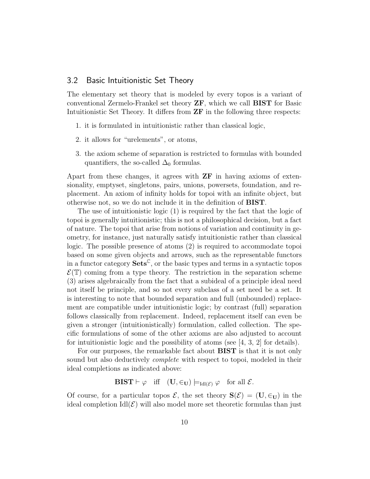#### 3.2 Basic Intuitionistic Set Theory

The elementary set theory that is modeled by every topos is a variant of conventional Zermelo-Frankel set theory ZF, which we call BIST for Basic Intuitionistic Set Theory. It differs from ZF in the following three respects:

- 1. it is formulated in intuitionistic rather than classical logic,
- 2. it allows for "urelements", or atoms,
- 3. the axiom scheme of separation is restricted to formulas with bounded quantifiers, the so-called  $\Delta_0$  formulas.

Apart from these changes, it agrees with  $ZF$  in having axioms of extensionality, emptyset, singletons, pairs, unions, powersets, foundation, and replacement. An axiom of infinity holds for topoi with an infinite object, but otherwise not, so we do not include it in the definition of BIST.

The use of intuitionistic logic (1) is required by the fact that the logic of topoi is generally intuitionistic; this is not a philosophical decision, but a fact of nature. The topoi that arise from notions of variation and continuity in geometry, for instance, just naturally satisfy intuitionistic rather than classical logic. The possible presence of atoms (2) is required to accommodate topoi based on some given objects and arrows, such as the representable functors in a functor category  $\textbf{Sets}^{\mathbb{C}}$ , or the basic types and terms in a syntactic topos  $\mathcal{E}(\mathbb{T})$  coming from a type theory. The restriction in the separation scheme (3) arises algebraically from the fact that a subideal of a principle ideal need not itself be principle, and so not every subclass of a set need be a set. It is interesting to note that bounded separation and full (unbounded) replacement are compatible under intuitionistic logic; by contrast (full) separation follows classically from replacement. Indeed, replacement itself can even be given a stronger (intuitionistically) formulation, called collection. The specific formulations of some of the other axioms are also adjusted to account for intuitionistic logic and the possibility of atoms (see [4, 3, 2] for details).

For our purposes, the remarkable fact about BIST is that it is not only sound but also deductively *complete* with respect to topoi, modeled in their ideal completions as indicated above:

 $\text{BIST} \vdash \varphi \quad \text{iff} \quad (\mathbf{U}, \in_{\mathbf{U}}) \models_{\text{Idl}(\mathcal{E})} \varphi \quad \text{for all } \mathcal{E}.$ 

Of course, for a particular topos  $\mathcal{E}$ , the set theory  $S(\mathcal{E}) = (U, \in_{U})$  in the ideal completion  $\text{Id}(\mathcal{E})$  will also model more set theoretic formulas than just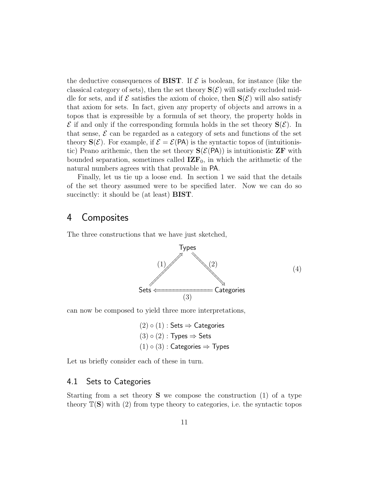the deductive consequences of **BIST**. If  $\mathcal{E}$  is boolean, for instance (like the classical category of sets), then the set theory  $S(\mathcal{E})$  will satisfy excluded middle for sets, and if  $\mathcal E$  satisfies the axiom of choice, then  $S(\mathcal E)$  will also satisfy that axiom for sets. In fact, given any property of objects and arrows in a topos that is expressible by a formula of set theory, the property holds in  $\mathcal E$  if and only if the corresponding formula holds in the set theory  $S(\mathcal E)$ . In that sense,  $\mathcal E$  can be regarded as a category of sets and functions of the set theory  $S(\mathcal{E})$ . For example, if  $\mathcal{E} = \mathcal{E}(PA)$  is the syntactic topos of (intuitionistic) Peano arithemic, then the set theory  $S(\mathcal{E}(PA))$  is intuitionistic ZF with bounded separation, sometimes called  $\mathbf{Z} \mathbf{F}_0$ , in which the arithmetic of the natural numbers agrees with that provable in PA.

Finally, let us tie up a loose end. In section 1 we said that the details of the set theory assumed were to be specified later. Now we can do so succinctly: it should be (at least) **BIST**.

### 4 Composites

The three constructions that we have just sketched,



can now be composed to yield three more interpretations,

(2) 
$$
\circ
$$
 (1) : Sets  $\Rightarrow$  Categories  
(3)  $\circ$  (2) : Types  $\Rightarrow$  Sets  
(1)  $\circ$  (3) : Categories  $\Rightarrow$  Types

Let us briefly consider each of these in turn.

#### 4.1 Sets to Categories

Starting from a set theory S we compose the construction (1) of a type theory  $\mathbb{T}(\mathbf{S})$  with (2) from type theory to categories, i.e. the syntactic topos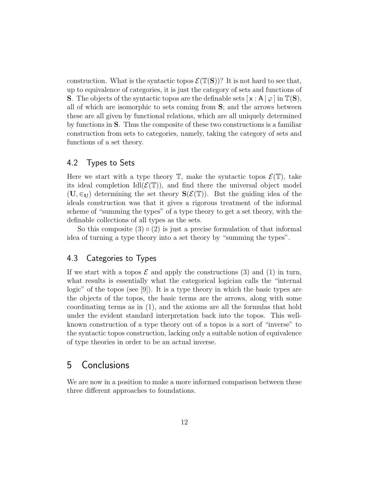construction. What is the syntactic topos  $\mathcal{E}(\mathbb{T}(S))$ ? It is not hard to see that, up to equivalence of categories, it is just the category of sets and functions of **S**. The objects of the syntactic topos are the definable sets  $\vert x : A \vert \varphi \vert$  in  $\mathbb{T}(\mathbf{S})$ , all of which are isomorphic to sets coming from S; and the arrows between these are all given by functional relations, which are all uniquely determined by functions in S. Thus the composite of these two constructions is a familiar construction from sets to categories, namely, taking the category of sets and functions of a set theory.

### 4.2 Types to Sets

Here we start with a type theory  $\mathbb T$ , make the syntactic topos  $\mathcal E(\mathbb T)$ , take its ideal completion  $\text{Id}(\mathcal{E}(\mathbb{T}))$ , and find there the universal object model  $(U, \in_{U})$  determining the set theory  $S(\mathcal{E}(\mathbb{T}))$ . But the guiding idea of the ideals construction was that it gives a rigorous treatment of the informal scheme of "summing the types" of a type theory to get a set theory, with the definable collections of all types as the sets.

So this composite  $(3) \circ (2)$  is just a precise formulation of that informal idea of turning a type theory into a set theory by "summing the types".

#### 4.3 Categories to Types

If we start with a topos  $\mathcal E$  and apply the constructions (3) and (1) in turn, what results is essentially what the categorical logician calls the "internal logic" of the topos (see [9]). It is a type theory in which the basic types are the objects of the topos, the basic terms are the arrows, along with some coordinating terms as in (1), and the axioms are all the formulas that hold under the evident standard interpretation back into the topos. This wellknown construction of a type theory out of a topos is a sort of "inverse" to the syntactic topos construction, lacking only a suitable notion of equivalence of type theories in order to be an actual inverse.

# 5 Conclusions

We are now in a position to make a more informed comparison between these three different approaches to foundations.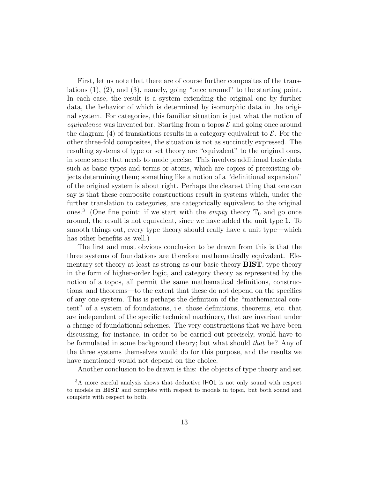First, let us note that there are of course further composites of the translations  $(1), (2),$  and  $(3),$  namely, going "once around" to the starting point. In each case, the result is a system extending the original one by further data, the behavior of which is determined by isomorphic data in the original system. For categories, this familiar situation is just what the notion of *equivalence* was invented for. Starting from a topos  $\mathcal E$  and going once around the diagram (4) of translations results in a category equivalent to  $\mathcal{E}$ . For the other three-fold composites, the situation is not as succinctly expressed. The resulting systems of type or set theory are "equivalent" to the original ones, in some sense that needs to made precise. This involves additional basic data such as basic types and terms or atoms, which are copies of preexisting objects determining them; something like a notion of a "definitional expansion" of the original system is about right. Perhaps the clearest thing that one can say is that these composite constructions result in systems which, under the further translation to categories, are categorically equivalent to the original ones.<sup>3</sup> (One fine point: if we start with the *empty* theory  $\mathbb{T}_0$  and go once around, the result is not equivalent, since we have added the unit type 1. To smooth things out, every type theory should really have a unit type—which has other benefits as well.)

The first and most obvious conclusion to be drawn from this is that the three systems of foundations are therefore mathematically equivalent. Elementary set theory at least as strong as our basic theory **BIST**, type theory in the form of higher-order logic, and category theory as represented by the notion of a topos, all permit the same mathematical definitions, constructions, and theorems—to the extent that these do not depend on the specifics of any one system. This is perhaps the definition of the "mathematical content" of a system of foundations, i.e. those definitions, theorems, etc. that are independent of the specific technical machinery, that are invariant under a change of foundational schemes. The very constructions that we have been discussing, for instance, in order to be carried out precisely, would have to be formulated in some background theory; but what should that be? Any of the three systems themselves would do for this purpose, and the results we have mentioned would not depend on the choice.

Another conclusion to be drawn is this: the objects of type theory and set

<sup>&</sup>lt;sup>3</sup>A more careful analysis shows that deductive IHOL is not only sound with respect to models in BIST and complete with respect to models in topoi, but both sound and complete with respect to both.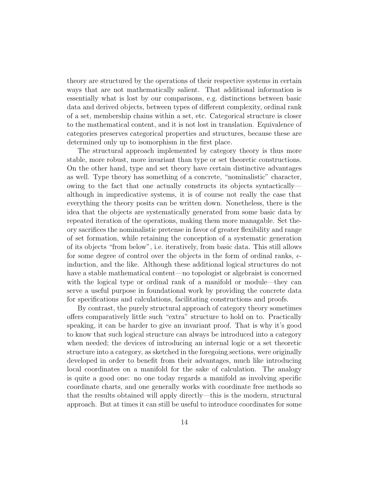theory are structured by the operations of their respective systems in certain ways that are not mathematically salient. That additional information is essentially what is lost by our comparisons, e.g. distinctions between basic data and derived objects, between types of different complexity, ordinal rank of a set, membership chains within a set, etc. Categorical structure is closer to the mathematical content, and it is not lost in translation. Equivalence of categories preserves categorical properties and structures, because these are determined only up to isomorphism in the first place.

The structural approach implemented by category theory is thus more stable, more robust, more invariant than type or set theoretic constructions. On the other hand, type and set theory have certain distinctive advantages as well. Type theory has something of a concrete, "nominalistic" character, owing to the fact that one actually constructs its objects syntactically although in impredicative systems, it is of course not really the case that everything the theory posits can be written down. Nonetheless, there is the idea that the objects are systematically generated from some basic data by repeated iteration of the operations, making them more managable. Set theory sacrifices the nominalistic pretense in favor of greater flexibility and range of set formation, while retaining the conception of a systematic generation of its objects "from below", i.e. iteratively, from basic data. This still allows for some degree of control over the objects in the form of ordinal ranks,  $\epsilon$ induction, and the like. Although these additional logical structures do not have a stable mathematical content—no topologist or algebraist is concerned with the logical type or ordinal rank of a manifold or module—they can serve a useful purpose in foundational work by providing the concrete data for specifications and calculations, facilitating constructions and proofs.

By contrast, the purely structural approach of category theory sometimes offers comparatively little such "extra" structure to hold on to. Practically speaking, it can be harder to give an invariant proof. That is why it's good to know that such logical structure can always be introduced into a category when needed; the devices of introducing an internal logic or a set theoretic structure into a category, as sketched in the foregoing sections, were originally developed in order to benefit from their advantages, much like introducing local coordinates on a manifold for the sake of calculation. The analogy is quite a good one: no one today regards a manifold as involving specific coordinate charts, and one generally works with coordinate free methods so that the results obtained will apply directly—this is the modern, structural approach. But at times it can still be useful to introduce coordinates for some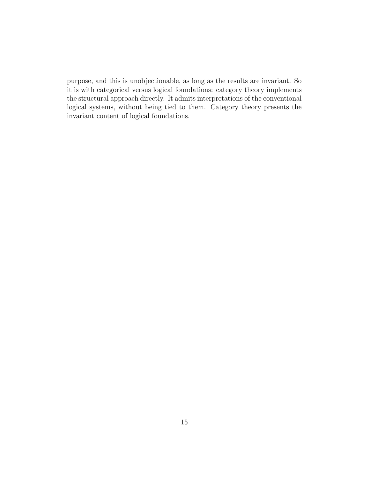purpose, and this is unobjectionable, as long as the results are invariant. So it is with categorical versus logical foundations: category theory implements the structural approach directly. It admits interpretations of the conventional logical systems, without being tied to them. Category theory presents the invariant content of logical foundations.